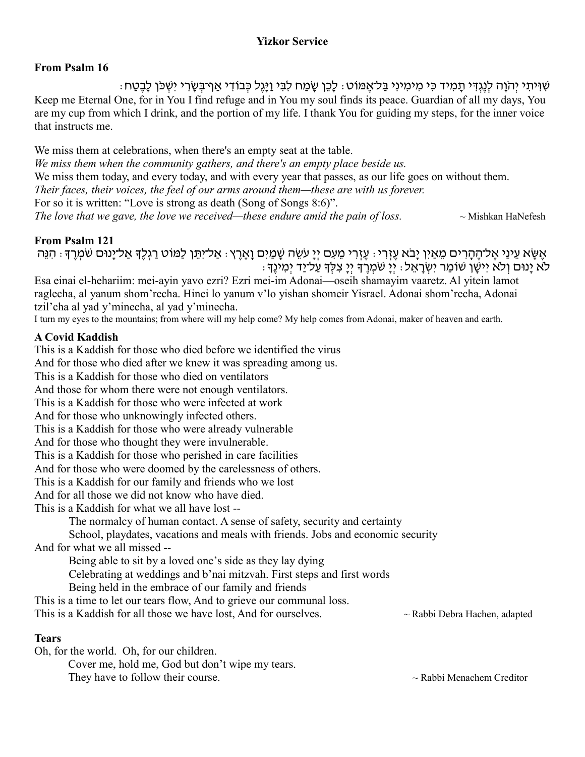### **Yizkor Service**

### **From Psalm 16**

ּ שִׁוְּיתִי יְהֹוָה לִנֶגְדִּי תַמְיד כִּי מִימִינִי בַּל־אֲמּוֹט: לַכֵּן שַׂמַח לִבִּי וַיַּגֶל כְּבוֹדִי אַף־בִּשֶׂרִי יִשְׁכֹּן לַבֶטֶח: Keep me Eternal One, for in You I find refuge and in You my soul finds its peace. Guardian of all my days, You are my cup from which I drink, and the portion of my life. I thank You for guiding my steps, for the inner voice that instructs me.

We miss them at celebrations, when there's an empty seat at the table. *We miss them when the community gathers, and there's an empty place beside us.*  We miss them today, and every today, and with every year that passes, as our life goes on without them. *Their faces, their voices, the feel of our arms around them—these are with us forever.*  For so it is written: "Love is strong as death (Song of Songs 8:6)". *The love that we gave, the love we received—these endure amid the pain of loss.*  $\sim$  Mishkan HaNefesh

#### **From Psalm 121**

ּ אֵשָּׂא עֵינַי אֱל־הֱהָרִים מֵאַיִן יָבֹא עֵזְרִי ּ עֵזְרִי מֵעִם יְיָ עֹשֶׂה שָׁמַיִם וַאֲרֵץ ּ אֲל־יָמִן לַמּוֹט רַגְלֶךָ אֲל־יָנוּם שֹׁמְרֵךָ ּ הִנֵּה ּ לֹא יָנוּם וְלֹא יִישָׁן שׁוֹמֵר יִשְׂרָאֵל: יְיָ שֹׁמְרֶךְ יְיָ צִלְּךָ עַל־יַד יְמִינֶךְ

Esa einai el-hehariim: mei-ayin yavo ezri? Ezri mei-im Adonai—oseih shamayim vaaretz. Al yitein lamot raglecha, al yanum shom'recha. Hinei lo yanum v'lo yishan shomeir Yisrael. Adonai shom'recha, Adonai tzil'cha al yad y'minecha, al yad y'minecha.

I turn my eyes to the mountains; from where will my help come? My help comes from Adonai, maker of heaven and earth.

### **A Covid Kaddish**

This is a Kaddish for those who died before we identified the virus And for those who died after we knew it was spreading among us. This is a Kaddish for those who died on ventilators And those for whom there were not enough ventilators. This is a Kaddish for those who were infected at work And for those who unknowingly infected others. This is a Kaddish for those who were already vulnerable And for those who thought they were invulnerable. This is a Kaddish for those who perished in care facilities And for those who were doomed by the carelessness of others. This is a Kaddish for our family and friends who we lost

And for all those we did not know who have died.

This is a Kaddish for what we all have lost --

The normalcy of human contact. A sense of safety, security and certainty

School, playdates, vacations and meals with friends. Jobs and economic security

And for what we all missed --

Being able to sit by a loved one's side as they lay dying

Celebrating at weddings and b'nai mitzvah. First steps and first words

Being held in the embrace of our family and friends

This is a time to let our tears flow, And to grieve our communal loss.

This is a Kaddish for all those we have lost, And for ourselves.  $\sim$  Rabbi Debra Hachen, adapted

### **Tears**

Oh, for the world. Oh, for our children. Cover me, hold me, God but don't wipe my tears.

They have to follow their course.  $\sim$  Rabbi Menachem Creditor